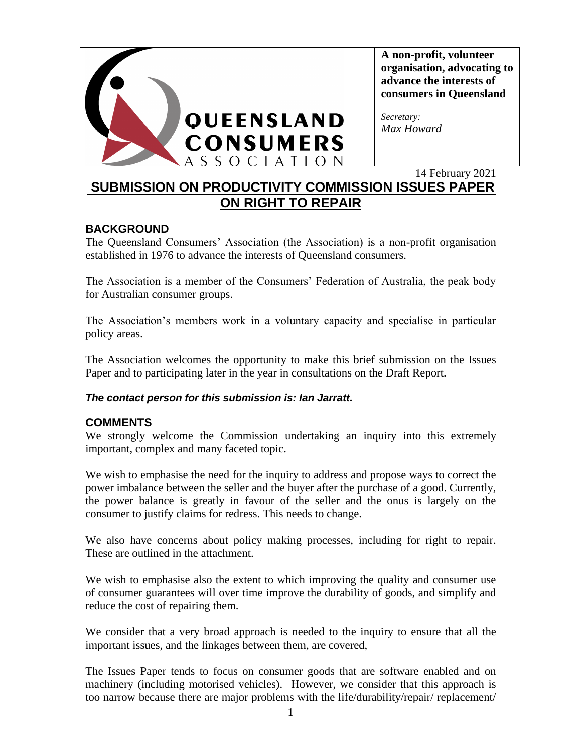

**A non-profit, volunteer organisation, advocating to advance the interests of consumers in Queensland**

*Secretary: Max Howard*

14 February 2021

# **SUBMISSION ON PRODUCTIVITY COMMISSION ISSUES PAPER ON RIGHT TO REPAIR**

### **BACKGROUND**

The Queensland Consumers' Association (the Association) is a non-profit organisation established in 1976 to advance the interests of Queensland consumers.

The Association is a member of the Consumers' Federation of Australia, the peak body for Australian consumer groups.

The Association's members work in a voluntary capacity and specialise in particular policy areas.

The Association welcomes the opportunity to make this brief submission on the Issues Paper and to participating later in the year in consultations on the Draft Report.

### *The contact person for this submission is: Ian Jarratt.*

### **COMMENTS**

We strongly welcome the Commission undertaking an inquiry into this extremely important, complex and many faceted topic.

We wish to emphasise the need for the inquiry to address and propose ways to correct the power imbalance between the seller and the buyer after the purchase of a good. Currently, the power balance is greatly in favour of the seller and the onus is largely on the consumer to justify claims for redress. This needs to change.

We also have concerns about policy making processes, including for right to repair. These are outlined in the attachment.

We wish to emphasise also the extent to which improving the quality and consumer use of consumer guarantees will over time improve the durability of goods, and simplify and reduce the cost of repairing them.

We consider that a very broad approach is needed to the inquiry to ensure that all the important issues, and the linkages between them, are covered,

The Issues Paper tends to focus on consumer goods that are software enabled and on machinery (including motorised vehicles). However, we consider that this approach is too narrow because there are major problems with the life/durability/repair/ replacement/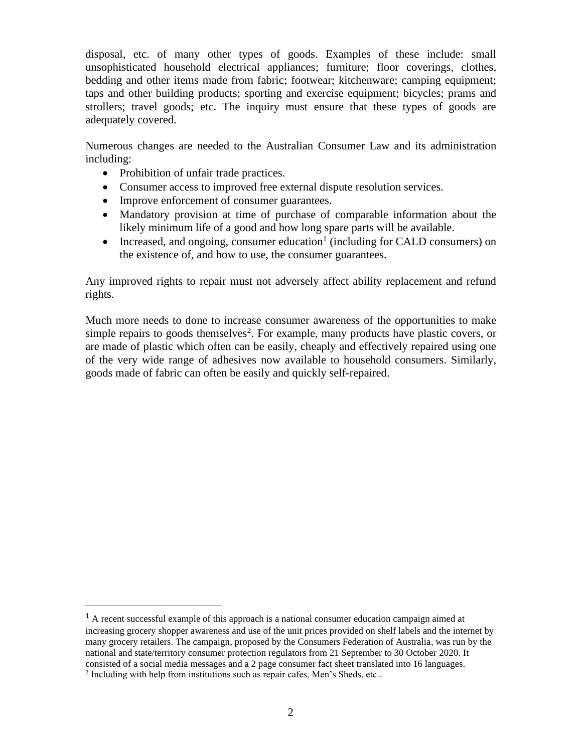disposal, etc. of many other types of goods. Examples of these include: small unsophisticated household electrical appliances; furniture; floor coverings, clothes, bedding and other items made from fabric; footwear; kitchenware; camping equipment; taps and other building products; sporting and exercise equipment; bicycles; prams and strollers; travel goods; etc. The inquiry must ensure that these types of goods are adequately covered.

Numerous changes are needed to the Australian Consumer Law and its administration including:

- Prohibition of unfair trade practices.
- Consumer access to improved free external dispute resolution services.
- Improve enforcement of consumer guarantees.
- Mandatory provision at time of purchase of comparable information about the likely minimum life of a good and how long spare parts will be available.
- Increased, and ongoing, consumer education<sup>1</sup> (including for CALD consumers) on the existence of, and how to use, the consumer guarantees.

Any improved rights to repair must not adversely affect ability replacement and refund rights.

Much more needs to done to increase consumer awareness of the opportunities to make simple repairs to goods themselves<sup>2</sup>. For example, many products have plastic covers, or are made of plastic which often can be easily, cheaply and effectively repaired using one of the very wide range of adhesives now available to household consumers. Similarly, goods made of fabric can often be easily and quickly self-repaired.

 $<sup>1</sup>$  A recent successful example of this approach is a national consumer education campaign aimed at</sup> increasing grocery shopper awareness and use of the unit prices provided on shelf labels and the internet by many grocery retailers. The campaign, proposed by the Consumers Federation of Australia, was run by the national and state/territory consumer protection regulators from 21 September to 30 October 2020. It consisted of a social media messages and a 2 page consumer fact sheet translated into 16 languages.

<sup>&</sup>lt;sup>2</sup> Including with help from institutions such as repair cafes, Men's Sheds, etc..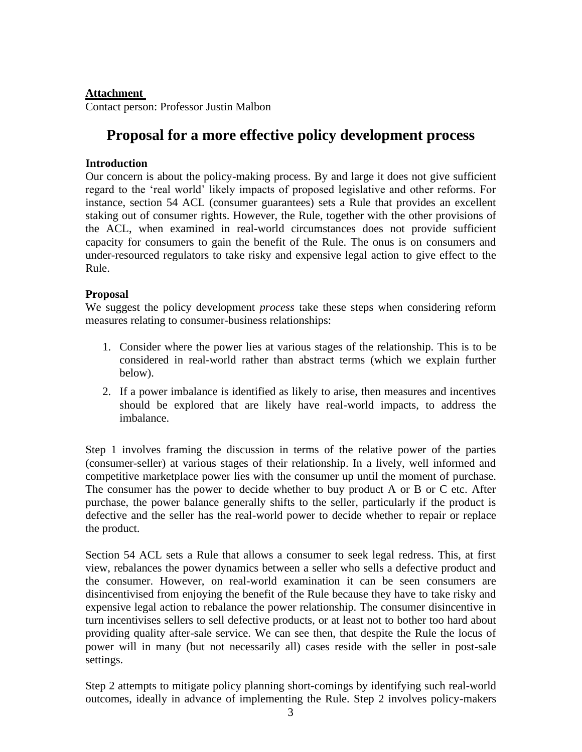#### **Attachment**

Contact person: Professor Justin Malbon

# **Proposal for a more effective policy development process**

#### **Introduction**

Our concern is about the policy-making process. By and large it does not give sufficient regard to the 'real world' likely impacts of proposed legislative and other reforms. For instance, section 54 ACL (consumer guarantees) sets a Rule that provides an excellent staking out of consumer rights. However, the Rule, together with the other provisions of the ACL, when examined in real-world circumstances does not provide sufficient capacity for consumers to gain the benefit of the Rule. The onus is on consumers and under-resourced regulators to take risky and expensive legal action to give effect to the Rule.

#### **Proposal**

We suggest the policy development *process* take these steps when considering reform measures relating to consumer-business relationships:

- 1. Consider where the power lies at various stages of the relationship. This is to be considered in real-world rather than abstract terms (which we explain further below).
- 2. If a power imbalance is identified as likely to arise, then measures and incentives should be explored that are likely have real-world impacts, to address the imbalance.

Step 1 involves framing the discussion in terms of the relative power of the parties (consumer-seller) at various stages of their relationship. In a lively, well informed and competitive marketplace power lies with the consumer up until the moment of purchase. The consumer has the power to decide whether to buy product A or B or C etc. After purchase, the power balance generally shifts to the seller, particularly if the product is defective and the seller has the real-world power to decide whether to repair or replace the product.

Section 54 ACL sets a Rule that allows a consumer to seek legal redress. This, at first view, rebalances the power dynamics between a seller who sells a defective product and the consumer. However, on real-world examination it can be seen consumers are disincentivised from enjoying the benefit of the Rule because they have to take risky and expensive legal action to rebalance the power relationship. The consumer disincentive in turn incentivises sellers to sell defective products, or at least not to bother too hard about providing quality after-sale service. We can see then, that despite the Rule the locus of power will in many (but not necessarily all) cases reside with the seller in post-sale settings.

Step 2 attempts to mitigate policy planning short-comings by identifying such real-world outcomes, ideally in advance of implementing the Rule. Step 2 involves policy-makers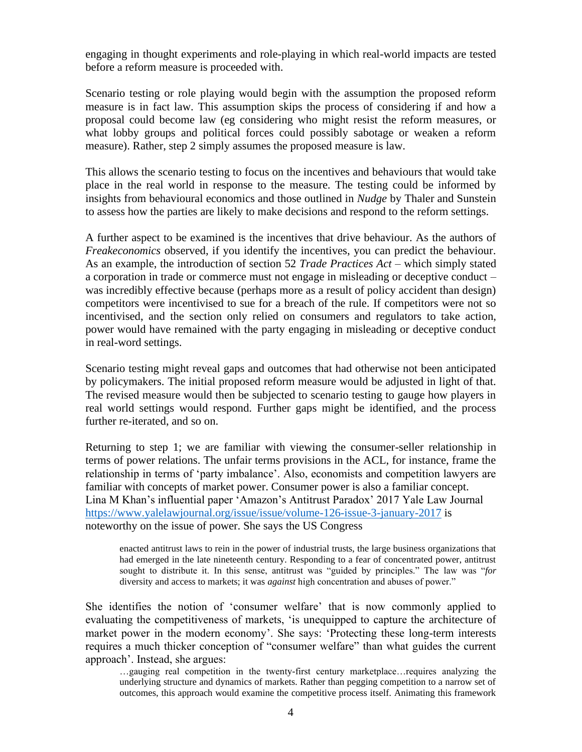engaging in thought experiments and role-playing in which real-world impacts are tested before a reform measure is proceeded with.

Scenario testing or role playing would begin with the assumption the proposed reform measure is in fact law. This assumption skips the process of considering if and how a proposal could become law (eg considering who might resist the reform measures, or what lobby groups and political forces could possibly sabotage or weaken a reform measure). Rather, step 2 simply assumes the proposed measure is law.

This allows the scenario testing to focus on the incentives and behaviours that would take place in the real world in response to the measure. The testing could be informed by insights from behavioural economics and those outlined in *Nudge* by Thaler and Sunstein to assess how the parties are likely to make decisions and respond to the reform settings.

A further aspect to be examined is the incentives that drive behaviour. As the authors of *Freakeconomics* observed, if you identify the incentives, you can predict the behaviour. As an example, the introduction of section 52 *Trade Practices Act* – which simply stated a corporation in trade or commerce must not engage in misleading or deceptive conduct – was incredibly effective because (perhaps more as a result of policy accident than design) competitors were incentivised to sue for a breach of the rule. If competitors were not so incentivised, and the section only relied on consumers and regulators to take action, power would have remained with the party engaging in misleading or deceptive conduct in real-word settings.

Scenario testing might reveal gaps and outcomes that had otherwise not been anticipated by policymakers. The initial proposed reform measure would be adjusted in light of that. The revised measure would then be subjected to scenario testing to gauge how players in real world settings would respond. Further gaps might be identified, and the process further re-iterated, and so on.

Returning to step 1; we are familiar with viewing the consumer-seller relationship in terms of power relations. The unfair terms provisions in the ACL, for instance, frame the relationship in terms of 'party imbalance'. Also, economists and competition lawyers are familiar with concepts of market power. Consumer power is also a familiar concept. Lina M Khan's influential paper 'Amazon's Antitrust Paradox' 2017 Yale Law Journal <https://www.yalelawjournal.org/issue/issue/volume-126-issue-3-january-2017> is noteworthy on the issue of power. She says the US Congress

enacted antitrust laws to rein in the power of industrial trusts, the large business organizations that had emerged in the late nineteenth century. Responding to a fear of concentrated power, antitrust sought to distribute it. In this sense, antitrust was "guided by principles." The law was "*for*

diversity and access to markets; it was *against* high concentration and abuses of power."

She identifies the notion of 'consumer welfare' that is now commonly applied to evaluating the competitiveness of markets, 'is unequipped to capture the architecture of market power in the modern economy'. She says: 'Protecting these long-term interests requires a much thicker conception of "consumer welfare" than what guides the current approach'. Instead, she argues:

…gauging real competition in the twenty-first century marketplace…requires analyzing the underlying structure and dynamics of markets. Rather than pegging competition to a narrow set of outcomes, this approach would examine the competitive process itself. Animating this framework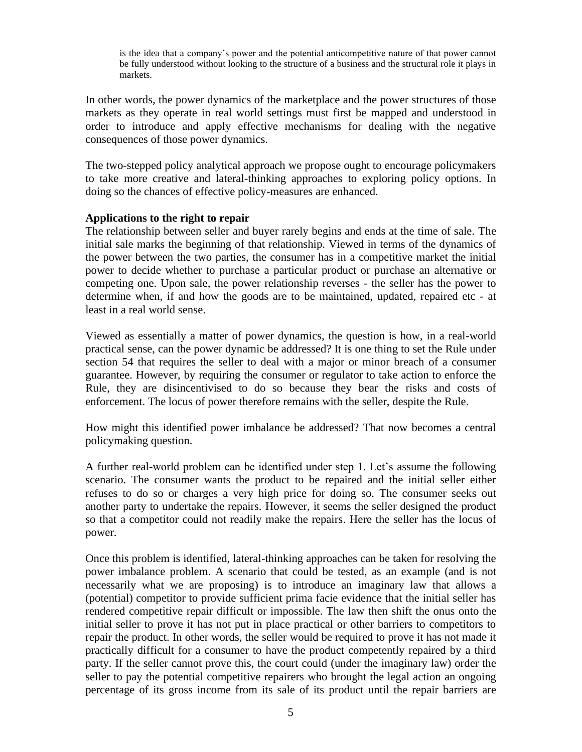is the idea that a company's power and the potential anticompetitive nature of that power cannot be fully understood without looking to the structure of a business and the structural role it plays in markets.

In other words, the power dynamics of the marketplace and the power structures of those markets as they operate in real world settings must first be mapped and understood in order to introduce and apply effective mechanisms for dealing with the negative consequences of those power dynamics.

The two-stepped policy analytical approach we propose ought to encourage policymakers to take more creative and lateral-thinking approaches to exploring policy options. In doing so the chances of effective policy-measures are enhanced.

#### **Applications to the right to repair**

The relationship between seller and buyer rarely begins and ends at the time of sale. The initial sale marks the beginning of that relationship. Viewed in terms of the dynamics of the power between the two parties, the consumer has in a competitive market the initial power to decide whether to purchase a particular product or purchase an alternative or competing one. Upon sale, the power relationship reverses - the seller has the power to determine when, if and how the goods are to be maintained, updated, repaired etc - at least in a real world sense.

Viewed as essentially a matter of power dynamics, the question is how, in a real-world practical sense, can the power dynamic be addressed? It is one thing to set the Rule under section 54 that requires the seller to deal with a major or minor breach of a consumer guarantee. However, by requiring the consumer or regulator to take action to enforce the Rule, they are disincentivised to do so because they bear the risks and costs of enforcement. The locus of power therefore remains with the seller, despite the Rule.

How might this identified power imbalance be addressed? That now becomes a central policymaking question.

A further real-world problem can be identified under step 1. Let's assume the following scenario. The consumer wants the product to be repaired and the initial seller either refuses to do so or charges a very high price for doing so. The consumer seeks out another party to undertake the repairs. However, it seems the seller designed the product so that a competitor could not readily make the repairs. Here the seller has the locus of power.

Once this problem is identified, lateral-thinking approaches can be taken for resolving the power imbalance problem. A scenario that could be tested, as an example (and is not necessarily what we are proposing) is to introduce an imaginary law that allows a (potential) competitor to provide sufficient prima facie evidence that the initial seller has rendered competitive repair difficult or impossible. The law then shift the onus onto the initial seller to prove it has not put in place practical or other barriers to competitors to repair the product. In other words, the seller would be required to prove it has not made it practically difficult for a consumer to have the product competently repaired by a third party. If the seller cannot prove this, the court could (under the imaginary law) order the seller to pay the potential competitive repairers who brought the legal action an ongoing percentage of its gross income from its sale of its product until the repair barriers are